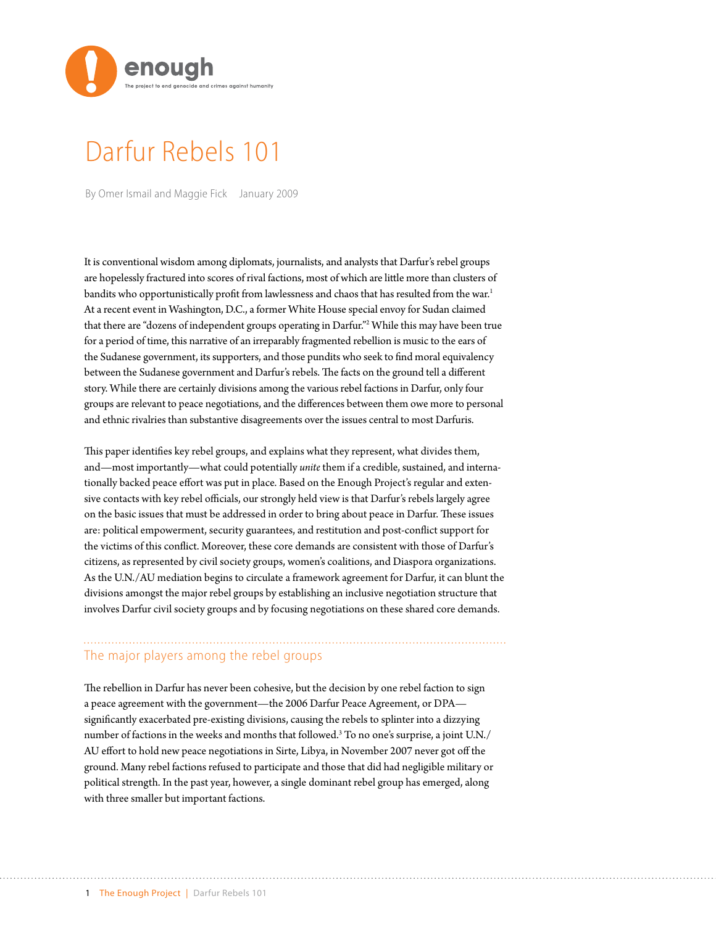

# Darfur Rebels 101

By Omer Ismail and Maggie Fick January 2009

It is conventional wisdom among diplomats, journalists, and analysts that Darfur's rebel groups are hopelessly fractured into scores of rival factions, most of which are little more than clusters of bandits who opportunistically profit from lawlessness and chaos that has resulted from the war.<sup>1</sup> At a recent event in Washington, D.C., a former White House special envoy for Sudan claimed that there are "dozens of independent groups operating in Darfur."2 While this may have been true for a period of time, this narrative of an irreparably fragmented rebellion is music to the ears of the Sudanese government, its supporters, and those pundits who seek to find moral equivalency between the Sudanese government and Darfur's rebels. The facts on the ground tell a different story. While there are certainly divisions among the various rebel factions in Darfur, only four groups are relevant to peace negotiations, and the differences between them owe more to personal and ethnic rivalries than substantive disagreements over the issues central to most Darfuris.

This paper identifies key rebel groups, and explains what they represent, what divides them, and—most importantly—what could potentially *unite* them if a credible, sustained, and internationally backed peace effort was put in place. Based on the Enough Project's regular and extensive contacts with key rebel officials, our strongly held view is that Darfur's rebels largely agree on the basic issues that must be addressed in order to bring about peace in Darfur. These issues are: political empowerment, security guarantees, and restitution and post-conflict support for the victims of this conflict. Moreover, these core demands are consistent with those of Darfur's citizens, as represented by civil society groups, women's coalitions, and Diaspora organizations. As the U.N./AU mediation begins to circulate a framework agreement for Darfur, it can blunt the divisions amongst the major rebel groups by establishing an inclusive negotiation structure that involves Darfur civil society groups and by focusing negotiations on these shared core demands.

### The major players among the rebel groups

The rebellion in Darfur has never been cohesive, but the decision by one rebel faction to sign a peace agreement with the government—the 2006 Darfur Peace Agreement, or DPA significantly exacerbated pre-existing divisions, causing the rebels to splinter into a dizzying number of factions in the weeks and months that followed.3 To no one's surprise, a joint U.N./ AU effort to hold new peace negotiations in Sirte, Libya, in November 2007 never got off the ground. Many rebel factions refused to participate and those that did had negligible military or political strength. In the past year, however, a single dominant rebel group has emerged, along with three smaller but important factions.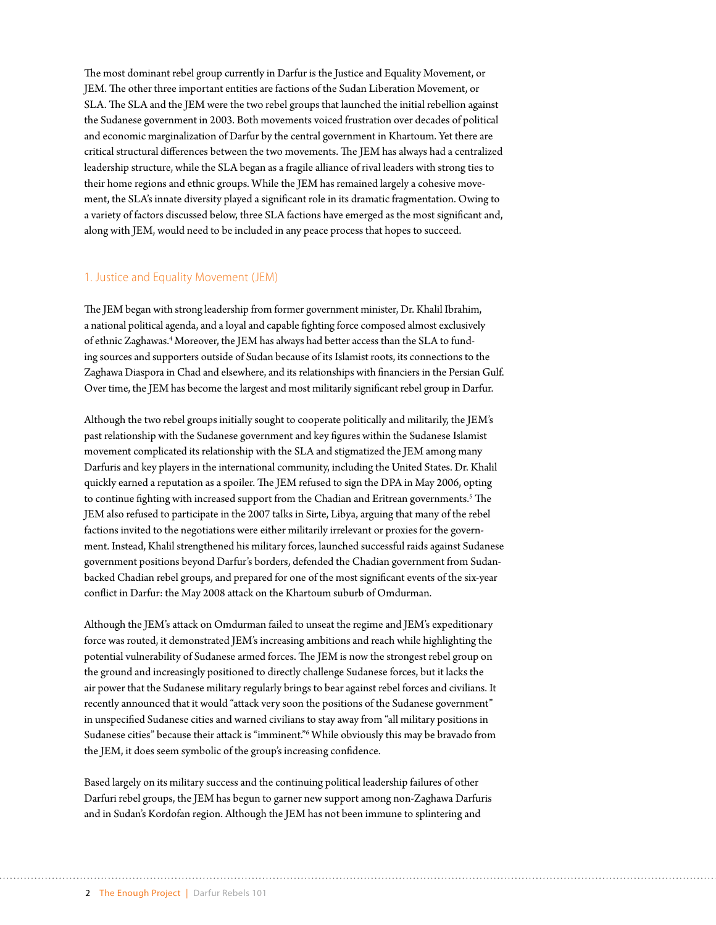The most dominant rebel group currently in Darfur is the Justice and Equality Movement, or JEM. The other three important entities are factions of the Sudan Liberation Movement, or SLA. The SLA and the JEM were the two rebel groups that launched the initial rebellion against the Sudanese government in 2003. Both movements voiced frustration over decades of political and economic marginalization of Darfur by the central government in Khartoum. Yet there are critical structural differences between the two movements. The JEM has always had a centralized leadership structure, while the SLA began as a fragile alliance of rival leaders with strong ties to their home regions and ethnic groups. While the JEM has remained largely a cohesive movement, the SLA's innate diversity played a significant role in its dramatic fragmentation. Owing to a variety of factors discussed below, three SLA factions have emerged as the most significant and, along with JEM, would need to be included in any peace process that hopes to succeed.

#### 1. Justice and Equality Movement (JEM)

The JEM began with strong leadership from former government minister, Dr. Khalil Ibrahim, a national political agenda, and a loyal and capable fighting force composed almost exclusively of ethnic Zaghawas.<sup>4</sup> Moreover, the JEM has always had better access than the SLA to funding sources and supporters outside of Sudan because of its Islamist roots, its connections to the Zaghawa Diaspora in Chad and elsewhere, and its relationships with financiers in the Persian Gulf. Over time, the JEM has become the largest and most militarily significant rebel group in Darfur.

Although the two rebel groups initially sought to cooperate politically and militarily, the JEM's past relationship with the Sudanese government and key figures within the Sudanese Islamist movement complicated its relationship with the SLA and stigmatized the JEM among many Darfuris and key players in the international community, including the United States. Dr. Khalil quickly earned a reputation as a spoiler. The JEM refused to sign the DPA in May 2006, opting to continue fighting with increased support from the Chadian and Eritrean governments.<sup>5</sup> The JEM also refused to participate in the 2007 talks in Sirte, Libya, arguing that many of the rebel factions invited to the negotiations were either militarily irrelevant or proxies for the government. Instead, Khalil strengthened his military forces, launched successful raids against Sudanese government positions beyond Darfur's borders, defended the Chadian government from Sudanbacked Chadian rebel groups, and prepared for one of the most significant events of the six-year conflict in Darfur: the May 2008 attack on the Khartoum suburb of Omdurman.

Although the JEM's attack on Omdurman failed to unseat the regime and JEM's expeditionary force was routed, it demonstrated JEM's increasing ambitions and reach while highlighting the potential vulnerability of Sudanese armed forces. The JEM is now the strongest rebel group on the ground and increasingly positioned to directly challenge Sudanese forces, but it lacks the air power that the Sudanese military regularly brings to bear against rebel forces and civilians. It recently announced that it would "attack very soon the positions of the Sudanese government" in unspecified Sudanese cities and warned civilians to stay away from "all military positions in Sudanese cities" because their attack is "imminent."6 While obviously this may be bravado from the JEM, it does seem symbolic of the group's increasing confidence.

Based largely on its military success and the continuing political leadership failures of other Darfuri rebel groups, the JEM has begun to garner new support among non-Zaghawa Darfuris and in Sudan's Kordofan region. Although the JEM has not been immune to splintering and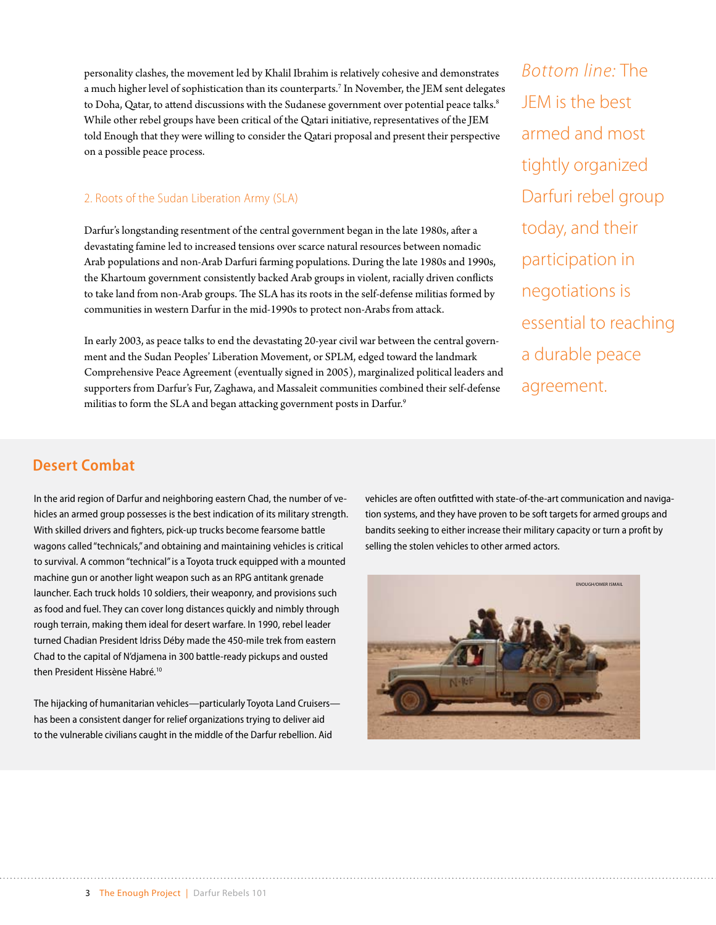personality clashes, the movement led by Khalil Ibrahim is relatively cohesive and demonstrates a much higher level of sophistication than its counterparts.7 In November, the JEM sent delegates to Doha, Qatar, to attend discussions with the Sudanese government over potential peace talks.<sup>8</sup> While other rebel groups have been critical of the Qatari initiative, representatives of the JEM told Enough that they were willing to consider the Qatari proposal and present their perspective on a possible peace process.

#### 2. Roots of the Sudan Liberation Army (SLA)

Darfur's longstanding resentment of the central government began in the late 1980s, after a devastating famine led to increased tensions over scarce natural resources between nomadic Arab populations and non-Arab Darfuri farming populations. During the late 1980s and 1990s, the Khartoum government consistently backed Arab groups in violent, racially driven conflicts to take land from non-Arab groups. The SLA has its roots in the self-defense militias formed by communities in western Darfur in the mid-1990s to protect non-Arabs from attack.

In early 2003, as peace talks to end the devastating 20-year civil war between the central government and the Sudan Peoples' Liberation Movement, or SPLM, edged toward the landmark Comprehensive Peace Agreement (eventually signed in 2005), marginalized political leaders and supporters from Darfur's Fur, Zaghawa, and Massaleit communities combined their self-defense militias to form the SLA and began attacking government posts in Darfur.<sup>9</sup>

*Bottom line:* The JEM is the best armed and most tightly organized Darfuri rebel group today, and their participation in negotiations is essential to reaching a durable peace agreement.

## **Desert Combat**

In the arid region of Darfur and neighboring eastern Chad, the number of vehicles an armed group possesses is the best indication of its military strength. With skilled drivers and fighters, pick-up trucks become fearsome battle wagons called "technicals," and obtaining and maintaining vehicles is critical to survival. A common "technical" is a Toyota truck equipped with a mounted machine gun or another light weapon such as an RPG antitank grenade launcher. Each truck holds 10 soldiers, their weaponry, and provisions such as food and fuel. They can cover long distances quickly and nimbly through rough terrain, making them ideal for desert warfare. In 1990, rebel leader turned Chadian President Idriss Déby made the 450-mile trek from eastern Chad to the capital of N'djamena in 300 battle-ready pickups and ousted then President Hissène Habré.<sup>10</sup>

The hijacking of humanitarian vehicles—particularly Toyota Land Cruisers has been a consistent danger for relief organizations trying to deliver aid to the vulnerable civilians caught in the middle of the Darfur rebellion. Aid

vehicles are often outfitted with state-of-the-art communication and navigation systems, and they have proven to be soft targets for armed groups and bandits seeking to either increase their military capacity or turn a profit by selling the stolen vehicles to other armed actors.

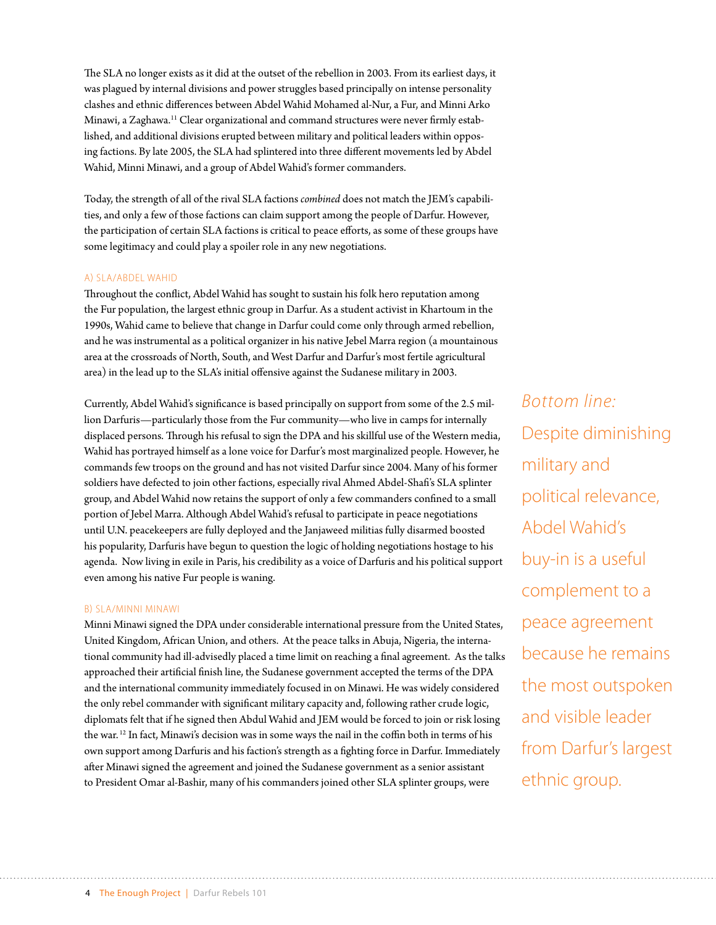The SLA no longer exists as it did at the outset of the rebellion in 2003. From its earliest days, it was plagued by internal divisions and power struggles based principally on intense personality clashes and ethnic differences between Abdel Wahid Mohamed al-Nur, a Fur, and Minni Arko Minawi, a Zaghawa.11 Clear organizational and command structures were never firmly established, and additional divisions erupted between military and political leaders within opposing factions. By late 2005, the SLA had splintered into three different movements led by Abdel Wahid, Minni Minawi, and a group of Abdel Wahid's former commanders.

Today, the strength of all of the rival SLA factions *combined* does not match the JEM's capabilities, and only a few of those factions can claim support among the people of Darfur. However, the participation of certain SLA factions is critical to peace efforts, as some of these groups have some legitimacy and could play a spoiler role in any new negotiations.

#### a) SLA/Abdel Wahid

Throughout the conflict, Abdel Wahid has sought to sustain his folk hero reputation among the Fur population, the largest ethnic group in Darfur. As a student activist in Khartoum in the 1990s, Wahid came to believe that change in Darfur could come only through armed rebellion, and he was instrumental as a political organizer in his native Jebel Marra region (a mountainous area at the crossroads of North, South, and West Darfur and Darfur's most fertile agricultural area) in the lead up to the SLA's initial offensive against the Sudanese military in 2003.

Currently, Abdel Wahid's significance is based principally on support from some of the 2.5 million Darfuris—particularly those from the Fur community—who live in camps for internally displaced persons. Through his refusal to sign the DPA and his skillful use of the Western media, Wahid has portrayed himself as a lone voice for Darfur's most marginalized people. However, he commands few troops on the ground and has not visited Darfur since 2004. Many of his former soldiers have defected to join other factions, especially rival Ahmed Abdel-Shafi's SLA splinter group, and Abdel Wahid now retains the support of only a few commanders confined to a small portion of Jebel Marra. Although Abdel Wahid's refusal to participate in peace negotiations until U.N. peacekeepers are fully deployed and the Janjaweed militias fully disarmed boosted his popularity, Darfuris have begun to question the logic of holding negotiations hostage to his agenda. Now living in exile in Paris, his credibility as a voice of Darfuris and his political support even among his native Fur people is waning.

#### b) SLA/Minni Minawi

Minni Minawi signed the DPA under considerable international pressure from the United States, United Kingdom, African Union, and others. At the peace talks in Abuja, Nigeria, the international community had ill-advisedly placed a time limit on reaching a final agreement. As the talks approached their artificial finish line, the Sudanese government accepted the terms of the DPA and the international community immediately focused in on Minawi. He was widely considered the only rebel commander with significant military capacity and, following rather crude logic, diplomats felt that if he signed then Abdul Wahid and JEM would be forced to join or risk losing the war. 12 In fact, Minawi's decision was in some ways the nail in the coffin both in terms of his own support among Darfuris and his faction's strength as a fighting force in Darfur. Immediately after Minawi signed the agreement and joined the Sudanese government as a senior assistant to President Omar al-Bashir, many of his commanders joined other SLA splinter groups, were

*Bottom line:*  Despite diminishing military and political relevance, Abdel Wahid's buy-in is a useful complement to a peace agreement because he remains the most outspoken and visible leader from Darfur's largest ethnic group.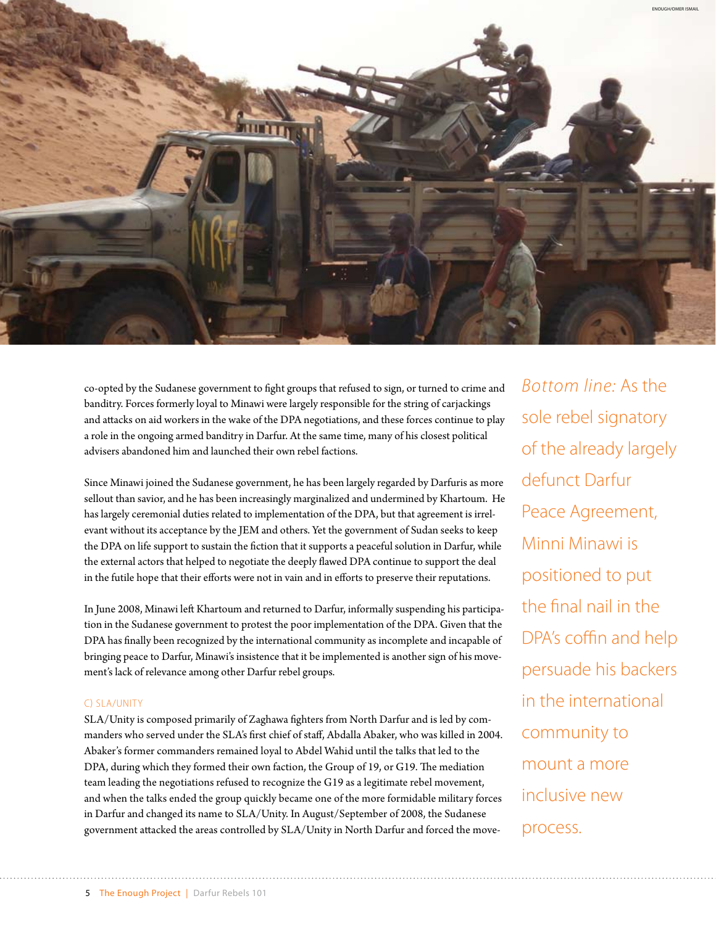

co-opted by the Sudanese government to fight groups that refused to sign, or turned to crime and banditry. Forces formerly loyal to Minawi were largely responsible for the string of carjackings and attacks on aid workers in the wake of the DPA negotiations, and these forces continue to play a role in the ongoing armed banditry in Darfur. At the same time, many of his closest political advisers abandoned him and launched their own rebel factions.

Since Minawi joined the Sudanese government, he has been largely regarded by Darfuris as more sellout than savior, and he has been increasingly marginalized and undermined by Khartoum. He has largely ceremonial duties related to implementation of the DPA, but that agreement is irrelevant without its acceptance by the JEM and others. Yet the government of Sudan seeks to keep the DPA on life support to sustain the fiction that it supports a peaceful solution in Darfur, while the external actors that helped to negotiate the deeply flawed DPA continue to support the deal in the futile hope that their efforts were not in vain and in efforts to preserve their reputations.

In June 2008, Minawi left Khartoum and returned to Darfur, informally suspending his participation in the Sudanese government to protest the poor implementation of the DPA. Given that the DPA has finally been recognized by the international community as incomplete and incapable of bringing peace to Darfur, Minawi's insistence that it be implemented is another sign of his movement's lack of relevance among other Darfur rebel groups.

#### c) SLA/Unity

SLA/Unity is composed primarily of Zaghawa fighters from North Darfur and is led by commanders who served under the SLA's first chief of staff, Abdalla Abaker, who was killed in 2004. Abaker's former commanders remained loyal to Abdel Wahid until the talks that led to the DPA, during which they formed their own faction, the Group of 19, or G19. The mediation team leading the negotiations refused to recognize the G19 as a legitimate rebel movement, and when the talks ended the group quickly became one of the more formidable military forces in Darfur and changed its name to SLA/Unity. In August/September of 2008, the Sudanese government attacked the areas controlled by SLA/Unity in North Darfur and forced the move-

*Bottom line:* As the sole rebel signatory of the already largely defunct Darfur Peace Agreement, Minni Minawi is positioned to put the final nail in the DPA's coffin and help persuade his backers in the international community to mount a more inclusive new process.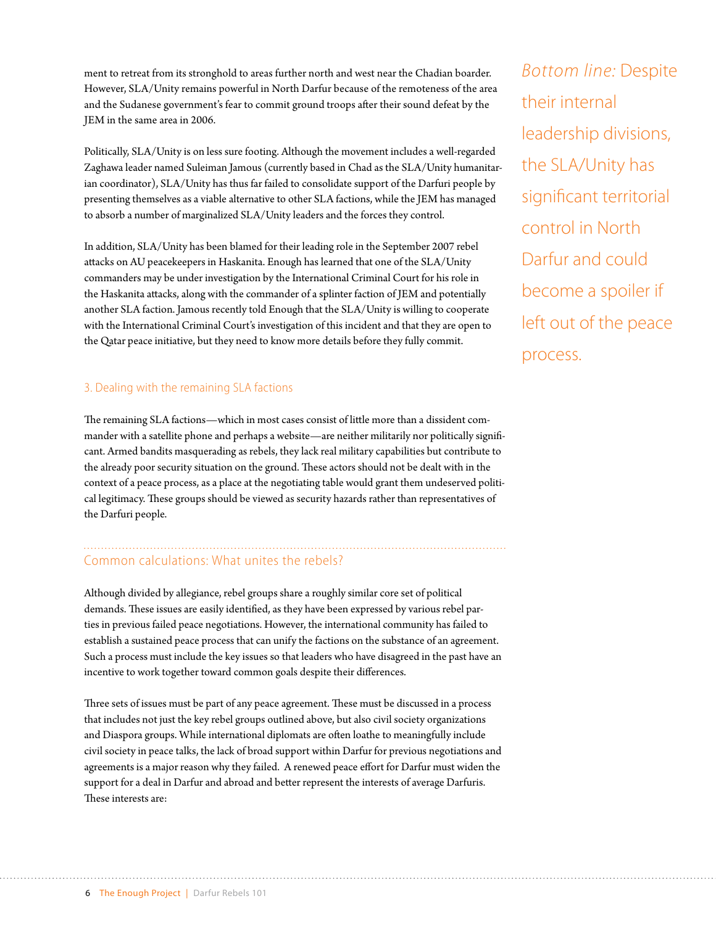ment to retreat from its stronghold to areas further north and west near the Chadian boarder. However, SLA/Unity remains powerful in North Darfur because of the remoteness of the area and the Sudanese government's fear to commit ground troops after their sound defeat by the JEM in the same area in 2006.

Politically, SLA/Unity is on less sure footing. Although the movement includes a well-regarded Zaghawa leader named Suleiman Jamous (currently based in Chad as the SLA/Unity humanitarian coordinator), SLA/Unity has thus far failed to consolidate support of the Darfuri people by presenting themselves as a viable alternative to other SLA factions, while the JEM has managed to absorb a number of marginalized SLA/Unity leaders and the forces they control.

In addition, SLA/Unity has been blamed for their leading role in the September 2007 rebel attacks on AU peacekeepers in Haskanita. Enough has learned that one of the SLA/Unity commanders may be under investigation by the International Criminal Court for his role in the Haskanita attacks, along with the commander of a splinter faction of JEM and potentially another SLA faction. Jamous recently told Enough that the SLA/Unity is willing to cooperate with the International Criminal Court's investigation of this incident and that they are open to the Qatar peace initiative, but they need to know more details before they fully commit.

#### 3. Dealing with the remaining SLA factions

The remaining SLA factions—which in most cases consist of little more than a dissident commander with a satellite phone and perhaps a website—are neither militarily nor politically significant. Armed bandits masquerading as rebels, they lack real military capabilities but contribute to the already poor security situation on the ground. These actors should not be dealt with in the context of a peace process, as a place at the negotiating table would grant them undeserved political legitimacy. These groups should be viewed as security hazards rather than representatives of the Darfuri people.

## Common calculations: What unites the rebels?

Although divided by allegiance, rebel groups share a roughly similar core set of political demands. These issues are easily identified, as they have been expressed by various rebel parties in previous failed peace negotiations. However, the international community has failed to establish a sustained peace process that can unify the factions on the substance of an agreement. Such a process must include the key issues so that leaders who have disagreed in the past have an incentive to work together toward common goals despite their differences.

Three sets of issues must be part of any peace agreement. These must be discussed in a process that includes not just the key rebel groups outlined above, but also civil society organizations and Diaspora groups. While international diplomats are often loathe to meaningfully include civil society in peace talks, the lack of broad support within Darfur for previous negotiations and agreements is a major reason why they failed. A renewed peace effort for Darfur must widen the support for a deal in Darfur and abroad and better represent the interests of average Darfuris. These interests are:

*Bottom line:* Despite their internal leadership divisions, the SLA/Unity has significant territorial control in North Darfur and could become a spoiler if left out of the peace process.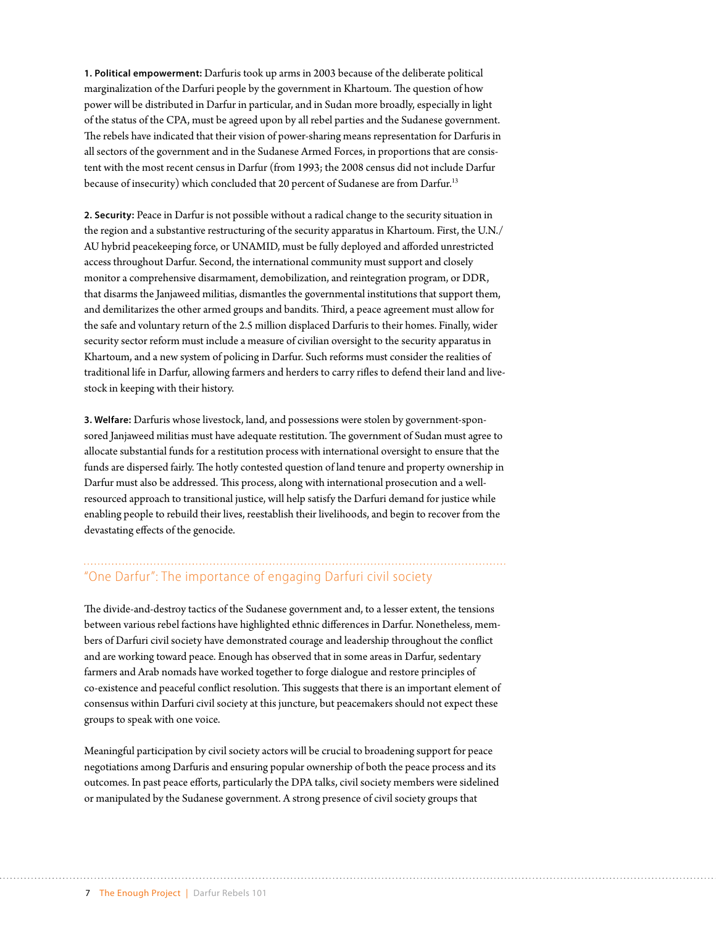**1. Political empowerment:** Darfuris took up arms in 2003 because of the deliberate political marginalization of the Darfuri people by the government in Khartoum. The question of how power will be distributed in Darfur in particular, and in Sudan more broadly, especially in light of the status of the CPA, must be agreed upon by all rebel parties and the Sudanese government. The rebels have indicated that their vision of power-sharing means representation for Darfuris in all sectors of the government and in the Sudanese Armed Forces, in proportions that are consistent with the most recent census in Darfur (from 1993; the 2008 census did not include Darfur because of insecurity) which concluded that 20 percent of Sudanese are from Darfur.13

**2. Security:** Peace in Darfur is not possible without a radical change to the security situation in the region and a substantive restructuring of the security apparatus in Khartoum. First, the U.N./ AU hybrid peacekeeping force, or UNAMID, must be fully deployed and afforded unrestricted access throughout Darfur. Second, the international community must support and closely monitor a comprehensive disarmament, demobilization, and reintegration program, or DDR, that disarms the Janjaweed militias, dismantles the governmental institutions that support them, and demilitarizes the other armed groups and bandits. Third, a peace agreement must allow for the safe and voluntary return of the 2.5 million displaced Darfuris to their homes. Finally, wider security sector reform must include a measure of civilian oversight to the security apparatus in Khartoum, and a new system of policing in Darfur. Such reforms must consider the realities of traditional life in Darfur, allowing farmers and herders to carry rifles to defend their land and livestock in keeping with their history.

**3. Welfare:** Darfuris whose livestock, land, and possessions were stolen by government-sponsored Janjaweed militias must have adequate restitution. The government of Sudan must agree to allocate substantial funds for a restitution process with international oversight to ensure that the funds are dispersed fairly. The hotly contested question of land tenure and property ownership in Darfur must also be addressed. This process, along with international prosecution and a wellresourced approach to transitional justice, will help satisfy the Darfuri demand for justice while enabling people to rebuild their lives, reestablish their livelihoods, and begin to recover from the devastating effects of the genocide.

## "One Darfur": The importance of engaging Darfuri civil society

The divide-and-destroy tactics of the Sudanese government and, to a lesser extent, the tensions between various rebel factions have highlighted ethnic differences in Darfur. Nonetheless, members of Darfuri civil society have demonstrated courage and leadership throughout the conflict and are working toward peace. Enough has observed that in some areas in Darfur, sedentary farmers and Arab nomads have worked together to forge dialogue and restore principles of co-existence and peaceful conflict resolution. This suggests that there is an important element of consensus within Darfuri civil society at this juncture, but peacemakers should not expect these groups to speak with one voice.

Meaningful participation by civil society actors will be crucial to broadening support for peace negotiations among Darfuris and ensuring popular ownership of both the peace process and its outcomes. In past peace efforts, particularly the DPA talks, civil society members were sidelined or manipulated by the Sudanese government. A strong presence of civil society groups that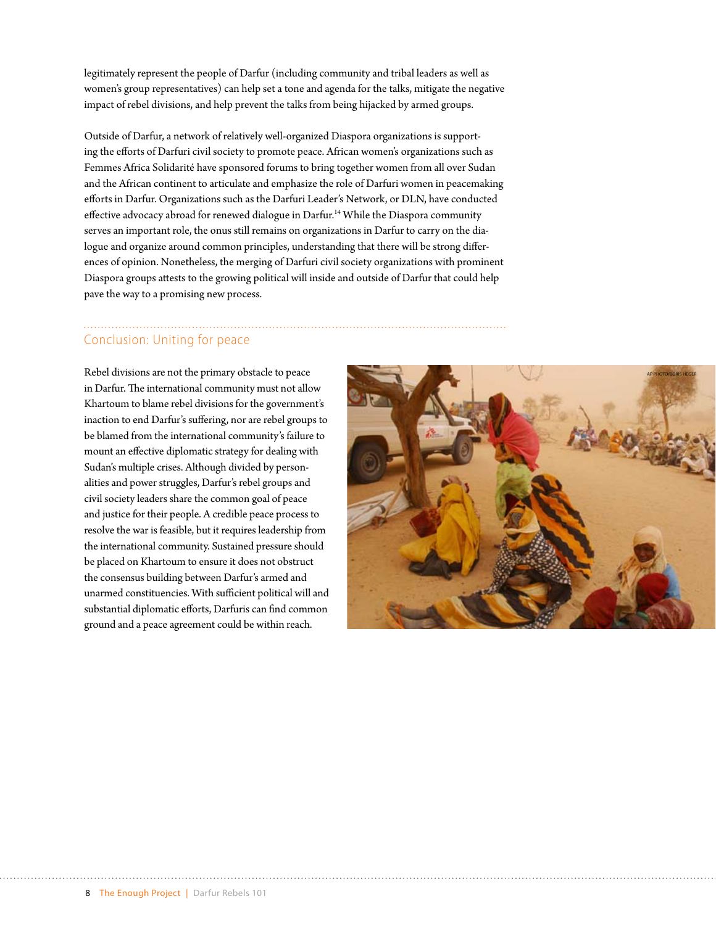legitimately represent the people of Darfur (including community and tribal leaders as well as women's group representatives) can help set a tone and agenda for the talks, mitigate the negative impact of rebel divisions, and help prevent the talks from being hijacked by armed groups.

Outside of Darfur, a network of relatively well-organized Diaspora organizations is supporting the efforts of Darfuri civil society to promote peace. African women's organizations such as Femmes Africa Solidarité have sponsored forums to bring together women from all over Sudan and the African continent to articulate and emphasize the role of Darfuri women in peacemaking efforts in Darfur. Organizations such as the Darfuri Leader's Network, or DLN, have conducted effective advocacy abroad for renewed dialogue in Darfur.14 While the Diaspora community serves an important role, the onus still remains on organizations in Darfur to carry on the dialogue and organize around common principles, understanding that there will be strong differences of opinion. Nonetheless, the merging of Darfuri civil society organizations with prominent Diaspora groups attests to the growing political will inside and outside of Darfur that could help pave the way to a promising new process.

## Conclusion: Uniting for peace

Rebel divisions are not the primary obstacle to peace in Darfur. The international community must not allow Khartoum to blame rebel divisions for the government's inaction to end Darfur's suffering, nor are rebel groups to be blamed from the international community's failure to mount an effective diplomatic strategy for dealing with Sudan's multiple crises. Although divided by personalities and power struggles, Darfur's rebel groups and civil society leaders share the common goal of peace and justice for their people. A credible peace process to resolve the war is feasible, but it requires leadership from the international community. Sustained pressure should be placed on Khartoum to ensure it does not obstruct the consensus building between Darfur's armed and unarmed constituencies. With sufficient political will and substantial diplomatic efforts, Darfuris can find common ground and a peace agreement could be within reach.

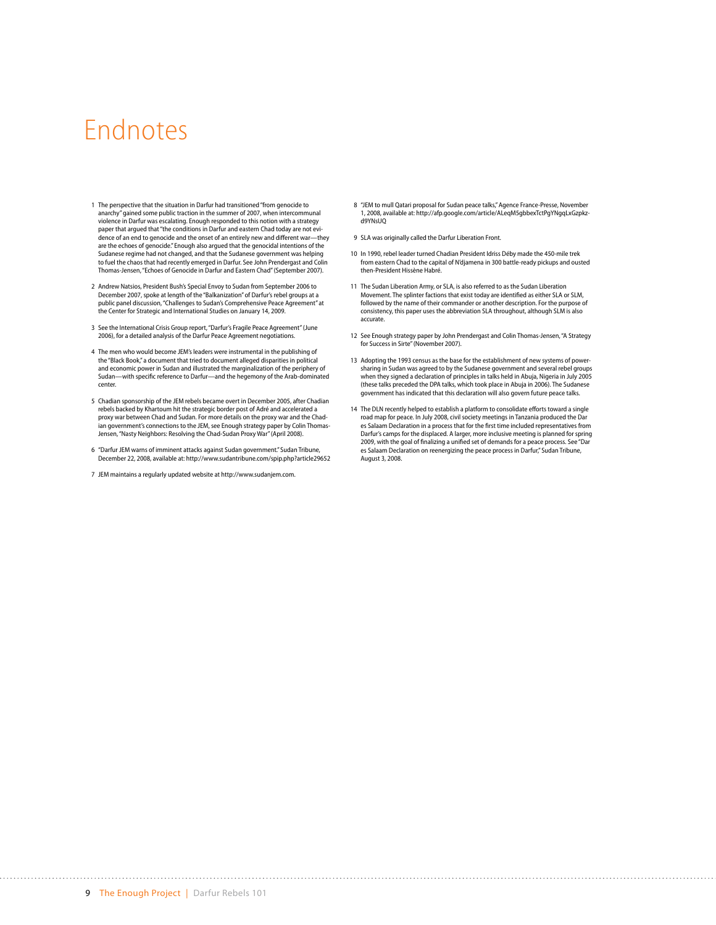## Endnotes

- 1 The perspective that the situation in Darfur had transitioned "from genocide to anarchy" gained some public traction in the summer of 2007, when intercommunal violence in Darfur was escalating. Enough responded to this notion with a strategy paper that argued that "the conditions in Darfur and eastern Chad today are not evi-dence of an end to genocide and the onset of an entirely new and different war—they are the echoes of genocide." Enough also argued that the genocidal intentions of the Sudanese regime had not changed, and that the Sudanese government was helping to fuel the chaos that had recently emerged in Darfur. See [John Prendergast and Colin](http://enoughproject.org/publications/echoes-genocide-darfur-and-eastern-chad)  [Thomas-Jensen, "Echoes of Genocide in Darfur and Eastern Chad"](http://enoughproject.org/publications/echoes-genocide-darfur-and-eastern-chad) (September 2007).
- 2 Andrew Natsios, President Bush's Special Envoy to Sudan from September 2006 to December 2007, spoke at length of the "Balkanization" of Darfur's rebel groups at a public panel discussion, ["Challenges to Sudan's Comprehensive Peace Agreement"](http://www.csis.org/component/option,com_csis_events/task,view/id,1894/) at the Center for Strategic and International Studies on January 14, 2009.
- 3 See the International Crisis Group report, ["Darfur's Fragile Peace Agreement"](http://www.crisisgroup.org/home/index.cfm?id=4179) (June 2006), for a detailed analysis of the Darfur Peace Agreement negotiations.
- 4 The men who would become JEM's leaders were instrumental in the publishing of the "Black Book," a document that tried to document alleged disparities in political and economic power in Sudan and illustrated the marginalization of the periphery of Sudan—with specific reference to Darfur—and the hegemony of the Arab-dominated center.
- 5 Chadian sponsorship of the JEM rebels became overt in December 2005, after Chadian rebels backed by Khartoum hit the strategic border post of Adré and accelerated a proxy war between Chad and Sudan. For more details on the proxy war and the Chadian government's connections to the JEM, see Enough strategy paper by Colin Thomas-Jensen, ["Nasty Neighbors: Resolving the Chad-Sudan Proxy War"](http://www.enoughproject.org/publications/nasty-neighbors-resolving-chad-sudan-proxy-war) (April 2008).
- 6 "Darfur JEM warns of imminent attacks against Sudan government." Sudan Tribune, December 22, 2008, available at:<http://www.sudantribune.com/spip.php?article29652>
- 7 JEM maintains a regularly updated website at [http://www.sudanjem.com.](http://www.sudanjem.com)
- 8 "JEM to mull Qatari proposal for Sudan peace talks," Agence France-Presse, November 1, 2008, available at: [http://afp.google.com/article/ALeqM5gbbexTctPgYNgqLxGzpkz](http://afp.google.com/article/ALeqM5gbbexTctPgYNgqLxGzpkzd9YNsUQ)[d9YNsUQ](http://afp.google.com/article/ALeqM5gbbexTctPgYNgqLxGzpkzd9YNsUQ)
- 9 SLA was originally called the Darfur Liberation Front.

- 10 In 1990, rebel leader turned Chadian President Idriss Déby made the 450-mile trek from eastern Chad to the capital of N'djamena in 300 battle-ready pickups and ousted then-President Hissène Habré.
- 11 The Sudan Liberation Army, or SLA, is also referred to as the Sudan Liberation Movement. The splinter factions that exist today are identified as either SLA or SLM, followed by the name of their commander or another description. For the purpose of consistency, this paper uses the abbreviation SLA throughout, although SLM is also accurate.
- 12 See Enough strategy paper by John Prendergast and Colin Thomas-Jensen, ["A Strategy](http://enoughproject.org/publications/strategy-success-sirte)  [for Success in Sirte"](http://enoughproject.org/publications/strategy-success-sirte) (November 2007).
- 13 Adopting the 1993 census as the base for the establishment of new systems of powersharing in Sudan was agreed to by the Sudanese government and several rebel groups when they signed a declaration of principles in talks held in Abuja, Nigeria in July 2005 (these talks preceded the DPA talks, which took place in Abuja in 2006). The Sudanese government has indicated that this declaration will also govern future peace talks.
- 14 The DLN recently helped to establish a platform to consolidate efforts toward a single road map for peace. In July 2008, civil society meetings in Tanzania produced the Dar es Salaam Declaration in a process that for the first time included representatives from Darfur's camps for the displaced. A larger, more inclusive meeting is planned for spring 2009, with the goal of finalizing a unified set of demands for a peace process. See ["Dar](http://www.sudantribune.com/spip.php?article28129)  [es Salaam Declaration on reenergizing the peace process in Darfur,"](http://www.sudantribune.com/spip.php?article28129) Sudan Tribune, August 3, 2008.